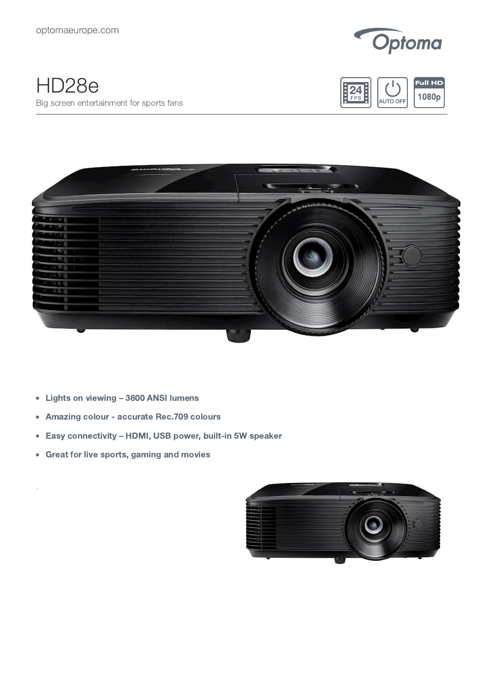

## HD28e Big screen entertainment for sports fans





- Lights on viewing 3800 ANSI lumens
- Amazing colour accurate Rec.709 colours  $\bullet$
- Easy connectivity HDMI, USB power, built-in 5W speaker  $\bullet$
- Great for live sports, gaming and movies  $\bullet$

.